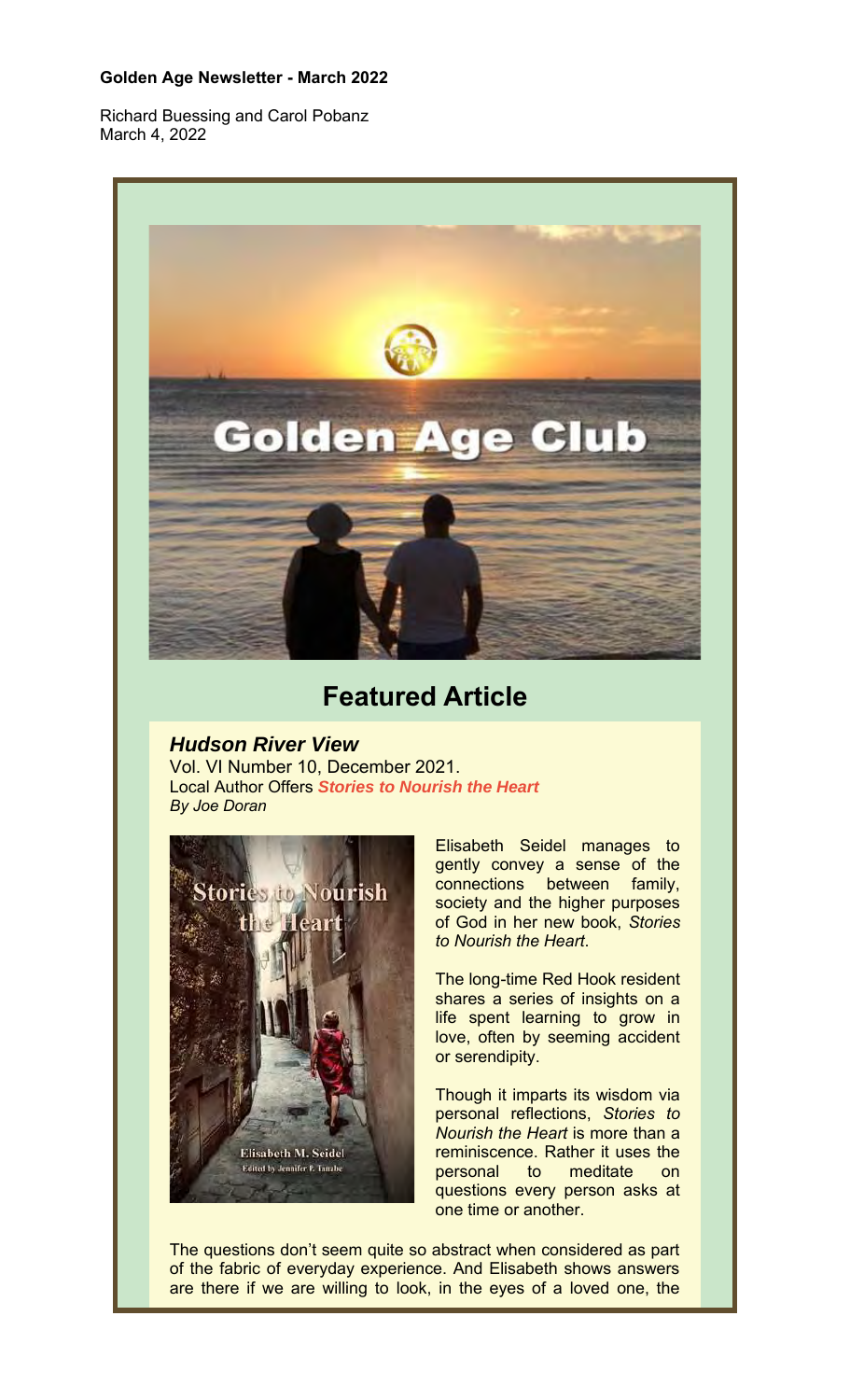### **Golden Age Newsletter - March 2022**

Richard Buessing and Carol Pobanz March 4, 2022



# **Featured Article**

## *Hudson River View*

Vol. VI Number 10, December 2021. Local Author Offers *Stories to Nourish the Heart By Joe Doran*



Elisabeth Seidel manages to gently convey a sense of the connections between family, society and the higher purposes of God in her new book, *Stories to Nourish the Heart*.

The long-time Red Hook resident shares a series of insights on a life spent learning to grow in love, often by seeming accident or serendipity.

Though it imparts its wisdom via personal reflections, *Stories to Nourish the Heart* is more than a reminiscence. Rather it uses the personal to meditate on questions every person asks at one time or another.

The questions don't seem quite so abstract when considered as part of the fabric of everyday experience. And Elisabeth shows answers are there if we are willing to look, in the eyes of a loved one, the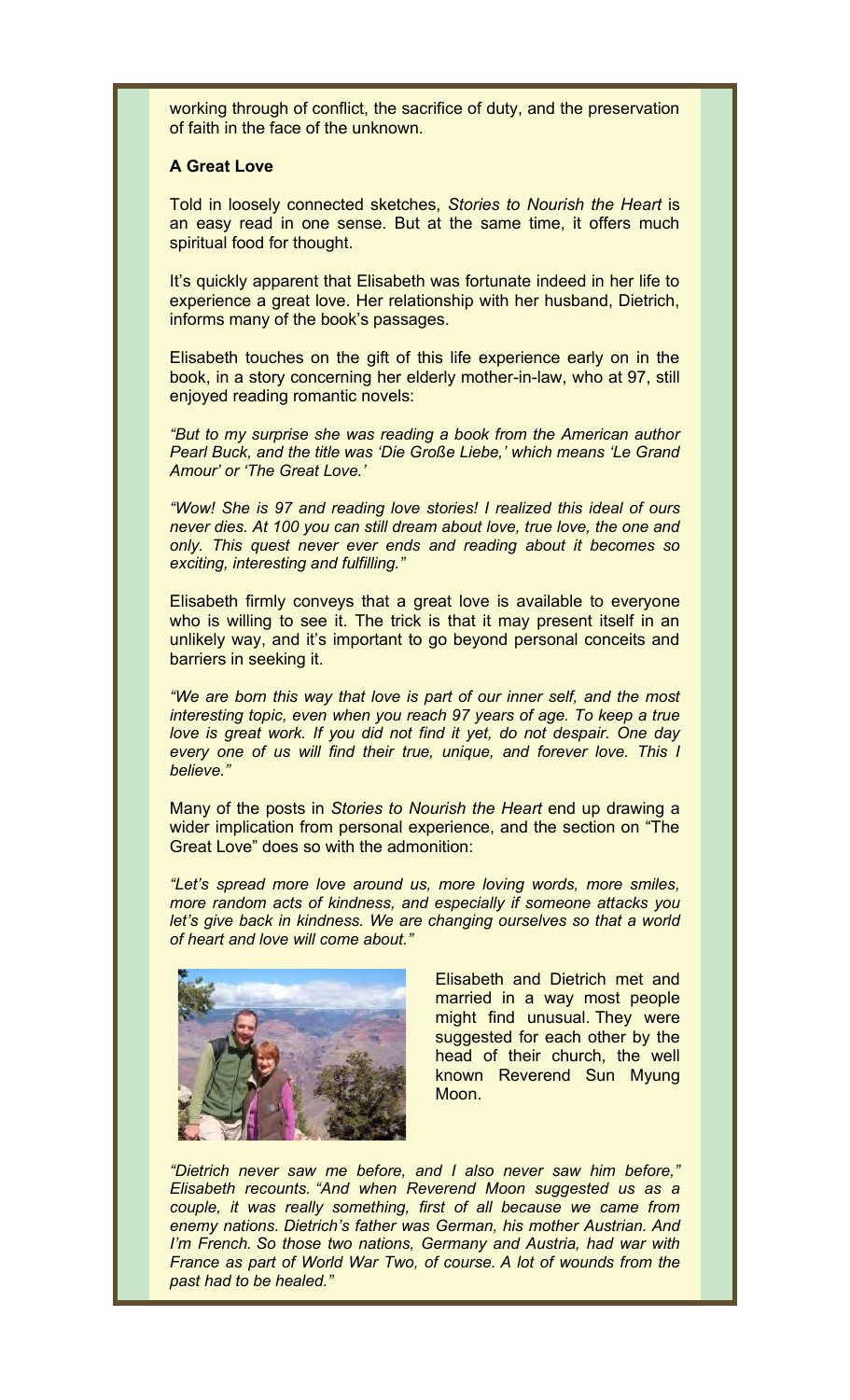working through of conflict, the sacrifice of duty, and the preservation of faith in the face of the unknown.

#### **A Great Love**

Told in loosely connected sketches, *Stories to Nourish the Heart* is an easy read in one sense. But at the same time, it offers much spiritual food for thought.

It's quickly apparent that Elisabeth was fortunate indeed in her life to experience a great love. Her relationship with her husband, Dietrich, informs many of the book's passages.

Elisabeth touches on the gift of this life experience early on in the book, in a story concerning her elderly mother-in-law, who at 97, still enjoyed reading romantic novels:

*"But to my surprise she was reading a book from the American author Pearl Buck, and the title was 'Die Große Liebe,' which means 'Le Grand Amour' or 'The Great Love.'*

*"Wow! She is 97 and reading love stories! I realized this ideal of ours never dies. At 100 you can still dream about love, true love, the one and only. This quest never ever ends and reading about it becomes so exciting, interesting and fulfilling."*

Elisabeth firmly conveys that a great love is available to everyone who is willing to see it. The trick is that it may present itself in an unlikely way, and it's important to go beyond personal conceits and barriers in seeking it.

*"We are born this way that love is part of our inner self, and the most interesting topic, even when you reach 97 years of age. To keep a true love is great work. If you did not find it yet, do not despair. One day every one of us will find their true, unique, and forever love. This I believe."*

Many of the posts in *Stories to Nourish the Heart* end up drawing a wider implication from personal experience, and the section on "The Great Love" does so with the admonition:

*"Let's spread more love around us, more loving words, more smiles, more random acts of kindness, and especially if someone attacks you let's give back in kindness. We are changing ourselves so that a world of heart and love will come about."*



Elisabeth and Dietrich met and married in a way most people might find unusual. They were suggested for each other by the head of their church, the well known Reverend Sun Myung Moon.

*"Dietrich never saw me before, and I also never saw him before," Elisabeth recounts. "And when Reverend Moon suggested us as a couple, it was really something, first of all because we came from enemy nations. Dietrich's father was German, his mother Austrian. And I'm French. So those two nations, Germany and Austria, had war with France as part of World War Two, of course. A lot of wounds from the past had to be healed."*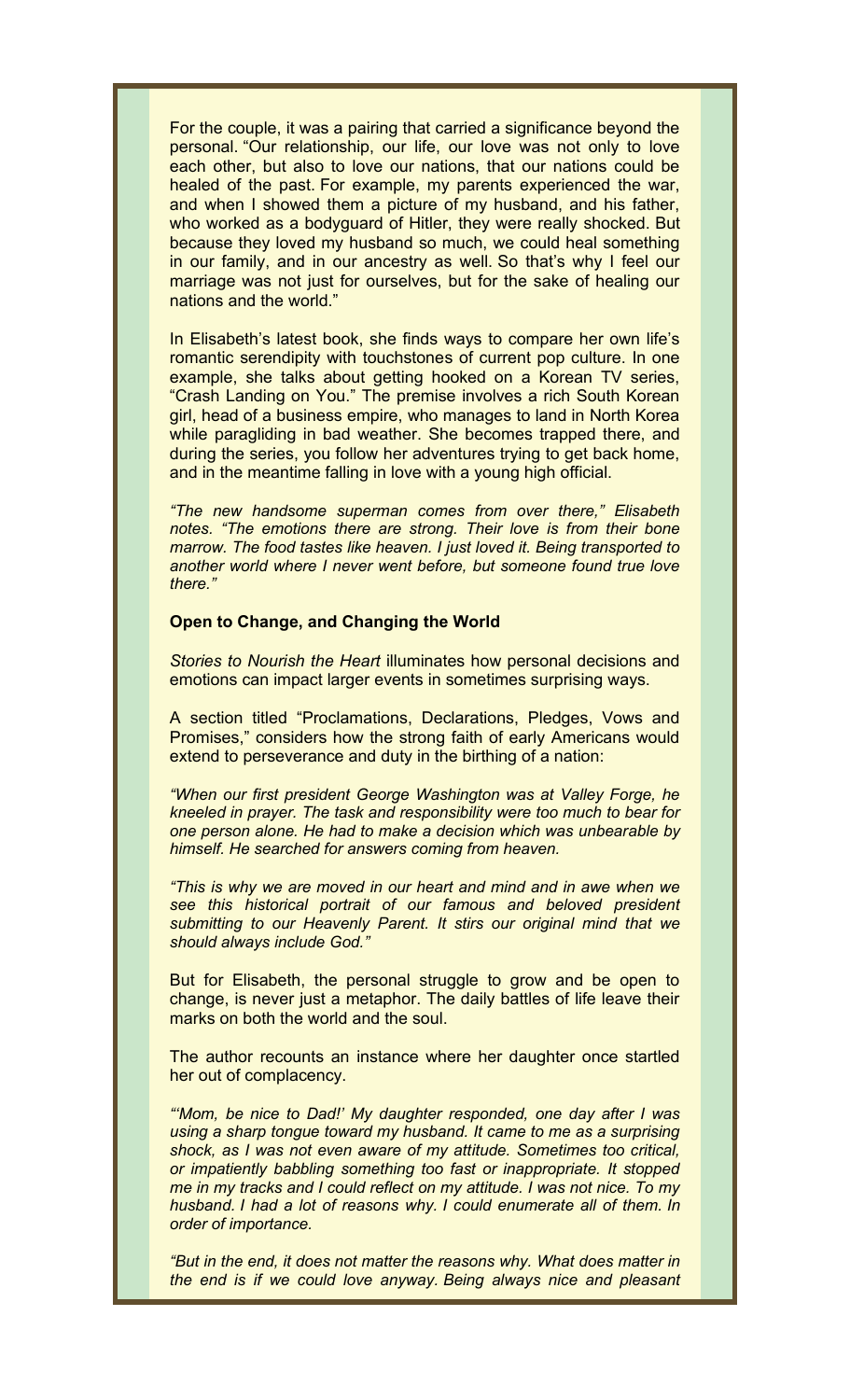For the couple, it was a pairing that carried a significance beyond the personal. "Our relationship, our life, our love was not only to love each other, but also to love our nations, that our nations could be healed of the past. For example, my parents experienced the war, and when I showed them a picture of my husband, and his father, who worked as a bodyguard of Hitler, they were really shocked. But because they loved my husband so much, we could heal something in our family, and in our ancestry as well. So that's why I feel our marriage was not just for ourselves, but for the sake of healing our nations and the world."

In Elisabeth's latest book, she finds ways to compare her own life's romantic serendipity with touchstones of current pop culture. In one example, she talks about getting hooked on a Korean TV series, "Crash Landing on You." The premise involves a rich South Korean girl, head of a business empire, who manages to land in North Korea while paragliding in bad weather. She becomes trapped there, and during the series, you follow her adventures trying to get back home, and in the meantime falling in love with a young high official.

*"The new handsome superman comes from over there," Elisabeth notes. "The emotions there are strong. Their love is from their bone marrow. The food tastes like heaven. I just loved it. Being transported to another world where I never went before, but someone found true love there."*

#### **Open to Change, and Changing the World**

*Stories to Nourish the Heart* illuminates how personal decisions and emotions can impact larger events in sometimes surprising ways.

A section titled "Proclamations, Declarations, Pledges, Vows and Promises," considers how the strong faith of early Americans would extend to perseverance and duty in the birthing of a nation:

*"When our first president George Washington was at Valley Forge, he kneeled in prayer. The task and responsibility were too much to bear for one person alone. He had to make a decision which was unbearable by himself. He searched for answers coming from heaven.*

*"This is why we are moved in our heart and mind and in awe when we see this historical portrait of our famous and beloved president submitting to our Heavenly Parent. It stirs our original mind that we should always include God."*

But for Elisabeth, the personal struggle to grow and be open to change, is never just a metaphor. The daily battles of life leave their marks on both the world and the soul.

The author recounts an instance where her daughter once startled her out of complacency.

*"'Mom, be nice to Dad!' My daughter responded, one day after I was using a sharp tongue toward my husband. It came to me as a surprising shock, as I was not even aware of my attitude. Sometimes too critical, or impatiently babbling something too fast or inappropriate. It stopped me in my tracks and I could reflect on my attitude. I was not nice. To my husband. I had a lot of reasons why. I could enumerate all of them. In order of importance.*

*"But in the end, it does not matter the reasons why. What does matter in the end is if we could love anyway. Being always nice and pleasant*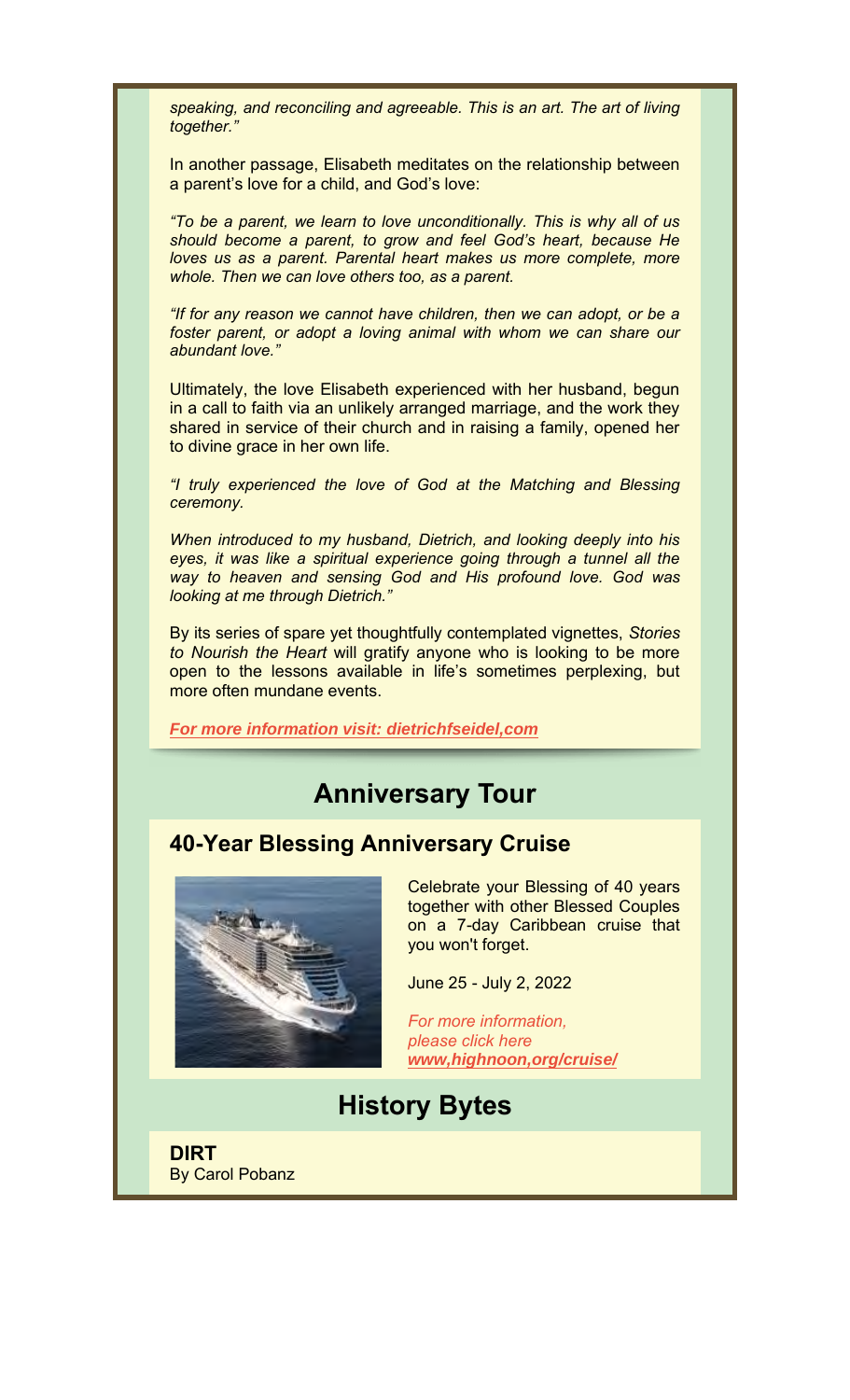*speaking, and reconciling and agreeable. This is an art. The art of living together."*

In another passage, Elisabeth meditates on the relationship between a parent's love for a child, and God's love:

*"To be a parent, we learn to love unconditionally. This is why all of us should become a parent, to grow and feel God's heart, because He loves us as a parent. Parental heart makes us more complete, more whole. Then we can love others too, as a parent.*

*"If for any reason we cannot have children, then we can adopt, or be a*  foster parent, or adopt a loving animal with whom we can share our *abundant love."*

Ultimately, the love Elisabeth experienced with her husband, begun in a call to faith via an unlikely arranged marriage, and the work they shared in service of their church and in raising a family, opened her to divine grace in her own life.

*"I truly experienced the love of God at the Matching and Blessing ceremony.*

*When introduced to my husband, Dietrich, and looking deeply into his eyes, it was like a spiritual experience going through a tunnel all the way to heaven and sensing God and His profound love. God was looking at me through Dietrich."*

By its series of spare yet thoughtfully contemplated vignettes, *Stories to Nourish the Heart* will gratify anyone who is looking to be more open to the lessons available in life's sometimes perplexing, but more often mundane events.

*For more information visit: dietrichfseidel,com*

# **Anniversary Tour**

## **40-Year Blessing Anniversary Cruise**



Celebrate your Blessing of 40 years together with other Blessed Couples on a 7-day Caribbean cruise that you won't forget.

June 25 - July 2, 2022

*For more information, please click here www,highnoon,org/cruise/*

**History Bytes**

**DIRT** By Carol Pobanz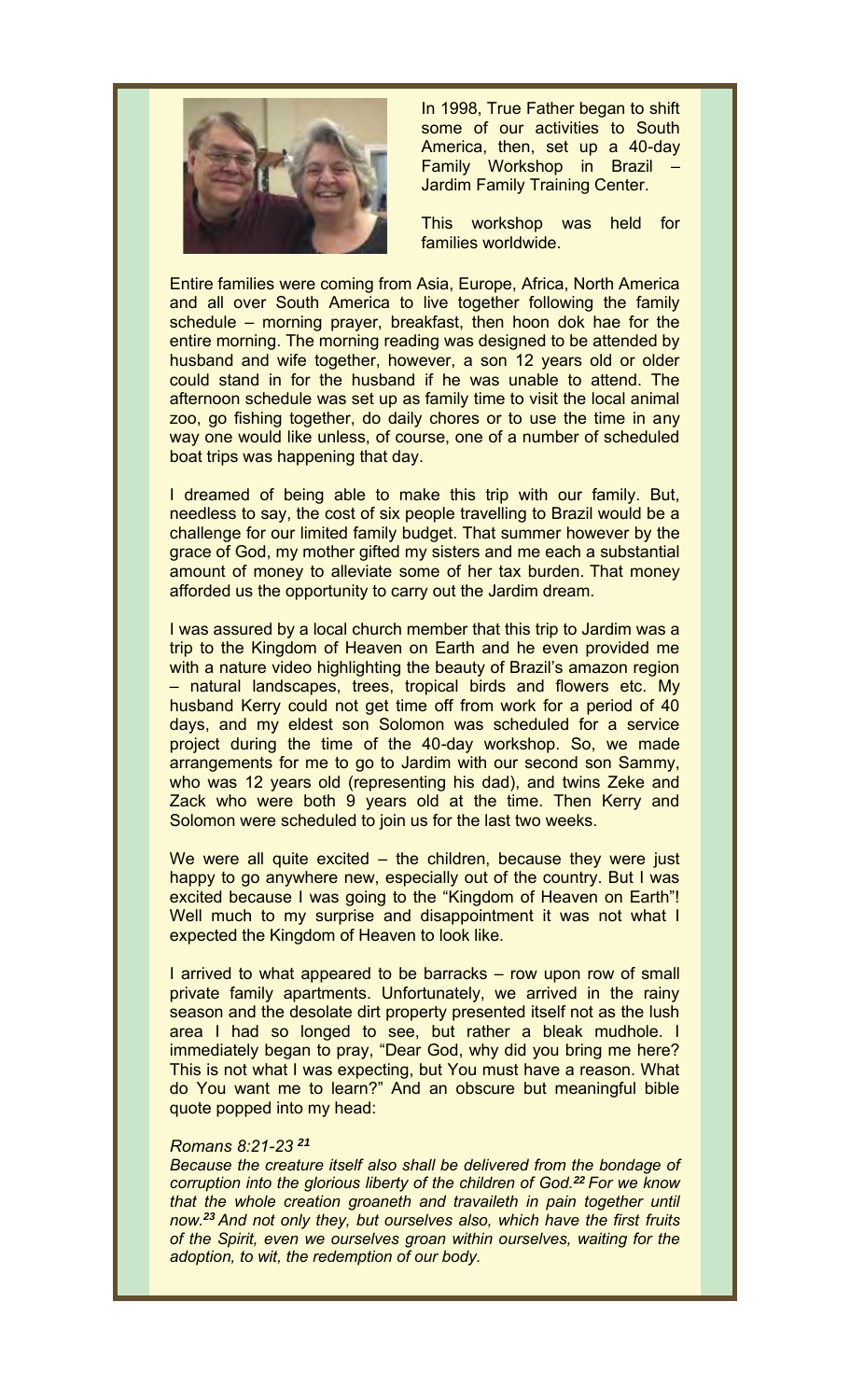

In 1998, True Father began to shift some of our activities to South America, then, set up a 40-day Family Workshop in Brazil – Jardim Family Training Center.

This workshop was held for families worldwide.

Entire families were coming from Asia, Europe, Africa, North America and all over South America to live together following the family schedule – morning prayer, breakfast, then hoon dok hae for the entire morning. The morning reading was designed to be attended by husband and wife together, however, a son 12 years old or older could stand in for the husband if he was unable to attend. The afternoon schedule was set up as family time to visit the local animal zoo, go fishing together, do daily chores or to use the time in any way one would like unless, of course, one of a number of scheduled boat trips was happening that day.

I dreamed of being able to make this trip with our family. But, needless to say, the cost of six people travelling to Brazil would be a challenge for our limited family budget. That summer however by the grace of God, my mother gifted my sisters and me each a substantial amount of money to alleviate some of her tax burden. That money afforded us the opportunity to carry out the Jardim dream.

I was assured by a local church member that this trip to Jardim was a trip to the Kingdom of Heaven on Earth and he even provided me with a nature video highlighting the beauty of Brazil's amazon region – natural landscapes, trees, tropical birds and flowers etc. My husband Kerry could not get time off from work for a period of 40 days, and my eldest son Solomon was scheduled for a service project during the time of the 40-day workshop. So, we made arrangements for me to go to Jardim with our second son Sammy, who was 12 years old (representing his dad), and twins Zeke and Zack who were both 9 years old at the time. Then Kerry and Solomon were scheduled to join us for the last two weeks.

We were all quite excited – the children, because they were just happy to go anywhere new, especially out of the country. But I was excited because I was going to the "Kingdom of Heaven on Earth"! Well much to my surprise and disappointment it was not what I expected the Kingdom of Heaven to look like.

I arrived to what appeared to be barracks – row upon row of small private family apartments. Unfortunately, we arrived in the rainy season and the desolate dirt property presented itself not as the lush area I had so longed to see, but rather a bleak mudhole. I immediately began to pray, "Dear God, why did you bring me here? This is not what I was expecting, but You must have a reason. What do You want me to learn?" And an obscure but meaningful bible quote popped into my head:

#### *Romans 8:21-23 <sup>21</sup>*

*Because the creature itself also shall be delivered from the bondage of corruption into the glorious liberty of the children of God.<sup>22</sup> For we know that the whole creation groaneth and travaileth in pain together until now.<sup>23</sup> And not only they, but ourselves also, which have the first fruits of the Spirit, even we ourselves groan within ourselves, waiting for the adoption, to wit, the redemption of our body.*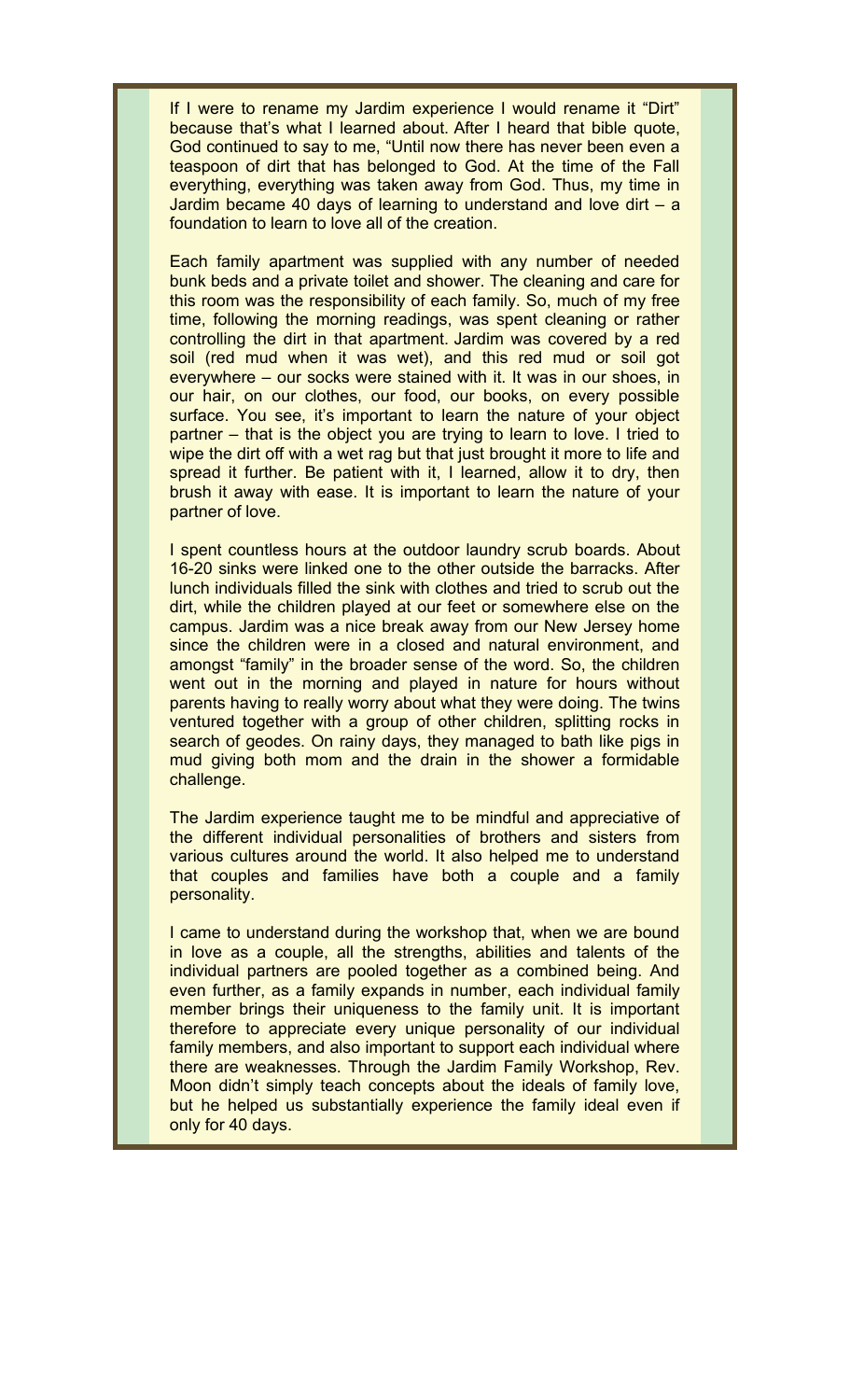If I were to rename my Jardim experience I would rename it "Dirt" because that's what I learned about. After I heard that bible quote, God continued to say to me, "Until now there has never been even a teaspoon of dirt that has belonged to God. At the time of the Fall everything, everything was taken away from God. Thus, my time in Jardim became 40 days of learning to understand and love dirt – a foundation to learn to love all of the creation.

Each family apartment was supplied with any number of needed bunk beds and a private toilet and shower. The cleaning and care for this room was the responsibility of each family. So, much of my free time, following the morning readings, was spent cleaning or rather controlling the dirt in that apartment. Jardim was covered by a red soil (red mud when it was wet), and this red mud or soil got everywhere – our socks were stained with it. It was in our shoes, in our hair, on our clothes, our food, our books, on every possible surface. You see, it's important to learn the nature of your object partner – that is the object you are trying to learn to love. I tried to wipe the dirt off with a wet rag but that just brought it more to life and spread it further. Be patient with it, I learned, allow it to dry, then brush it away with ease. It is important to learn the nature of your partner of love.

I spent countless hours at the outdoor laundry scrub boards. About 16-20 sinks were linked one to the other outside the barracks. After lunch individuals filled the sink with clothes and tried to scrub out the dirt, while the children played at our feet or somewhere else on the campus. Jardim was a nice break away from our New Jersey home since the children were in a closed and natural environment, and amongst "family" in the broader sense of the word. So, the children went out in the morning and played in nature for hours without parents having to really worry about what they were doing. The twins ventured together with a group of other children, splitting rocks in search of geodes. On rainy days, they managed to bath like pigs in mud giving both mom and the drain in the shower a formidable challenge.

The Jardim experience taught me to be mindful and appreciative of the different individual personalities of brothers and sisters from various cultures around the world. It also helped me to understand that couples and families have both a couple and a family personality.

I came to understand during the workshop that, when we are bound in love as a couple, all the strengths, abilities and talents of the individual partners are pooled together as a combined being. And even further, as a family expands in number, each individual family member brings their uniqueness to the family unit. It is important therefore to appreciate every unique personality of our individual family members, and also important to support each individual where there are weaknesses. Through the Jardim Family Workshop, Rev. Moon didn't simply teach concepts about the ideals of family love, but he helped us substantially experience the family ideal even if only for 40 days.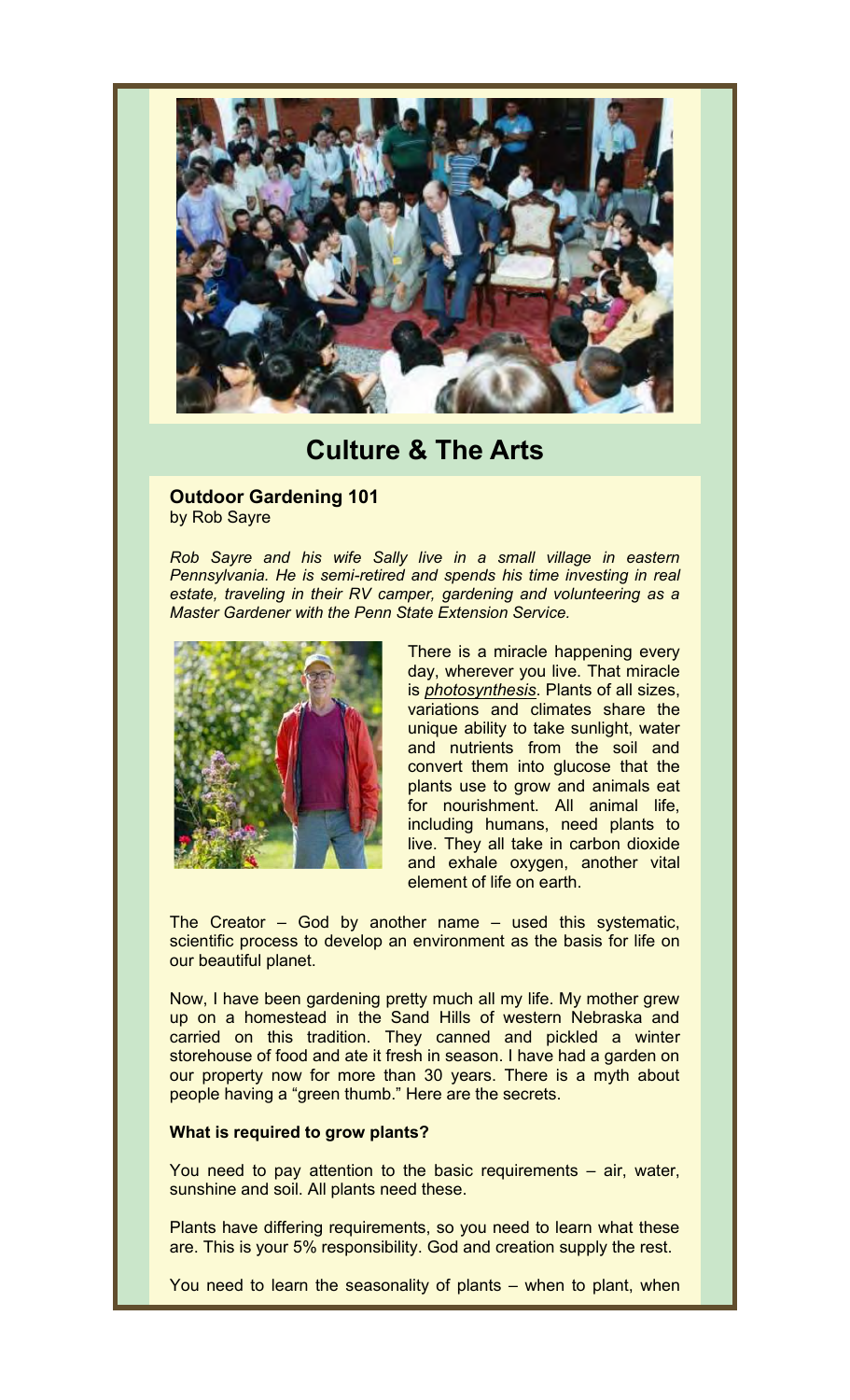

# **Culture & The Arts**

#### **Outdoor Gardening 101** by Rob Sayre

*Rob Sayre and his wife Sally live in a small village in eastern Pennsylvania. He is semi-retired and spends his time investing in real estate, traveling in their RV camper, gardening and volunteering as a Master Gardener with the Penn State Extension Service.*



There is a miracle happening every day, wherever you live. That miracle is *photosynthesis*. Plants of all sizes, variations and climates share the unique ability to take sunlight, water and nutrients from the soil and convert them into glucose that the plants use to grow and animals eat for nourishment. All animal life, including humans, need plants to live. They all take in carbon dioxide and exhale oxygen, another vital element of life on earth.

The Creator – God by another name – used this systematic, scientific process to develop an environment as the basis for life on our beautiful planet.

Now, I have been gardening pretty much all my life. My mother grew up on a homestead in the Sand Hills of western Nebraska and carried on this tradition. They canned and pickled a winter storehouse of food and ate it fresh in season. I have had a garden on our property now for more than 30 years. There is a myth about people having a "green thumb." Here are the secrets.

#### **What is required to grow plants?**

You need to pay attention to the basic requirements – air, water, sunshine and soil. All plants need these.

Plants have differing requirements, so you need to learn what these are. This is your 5% responsibility. God and creation supply the rest.

You need to learn the seasonality of plants – when to plant, when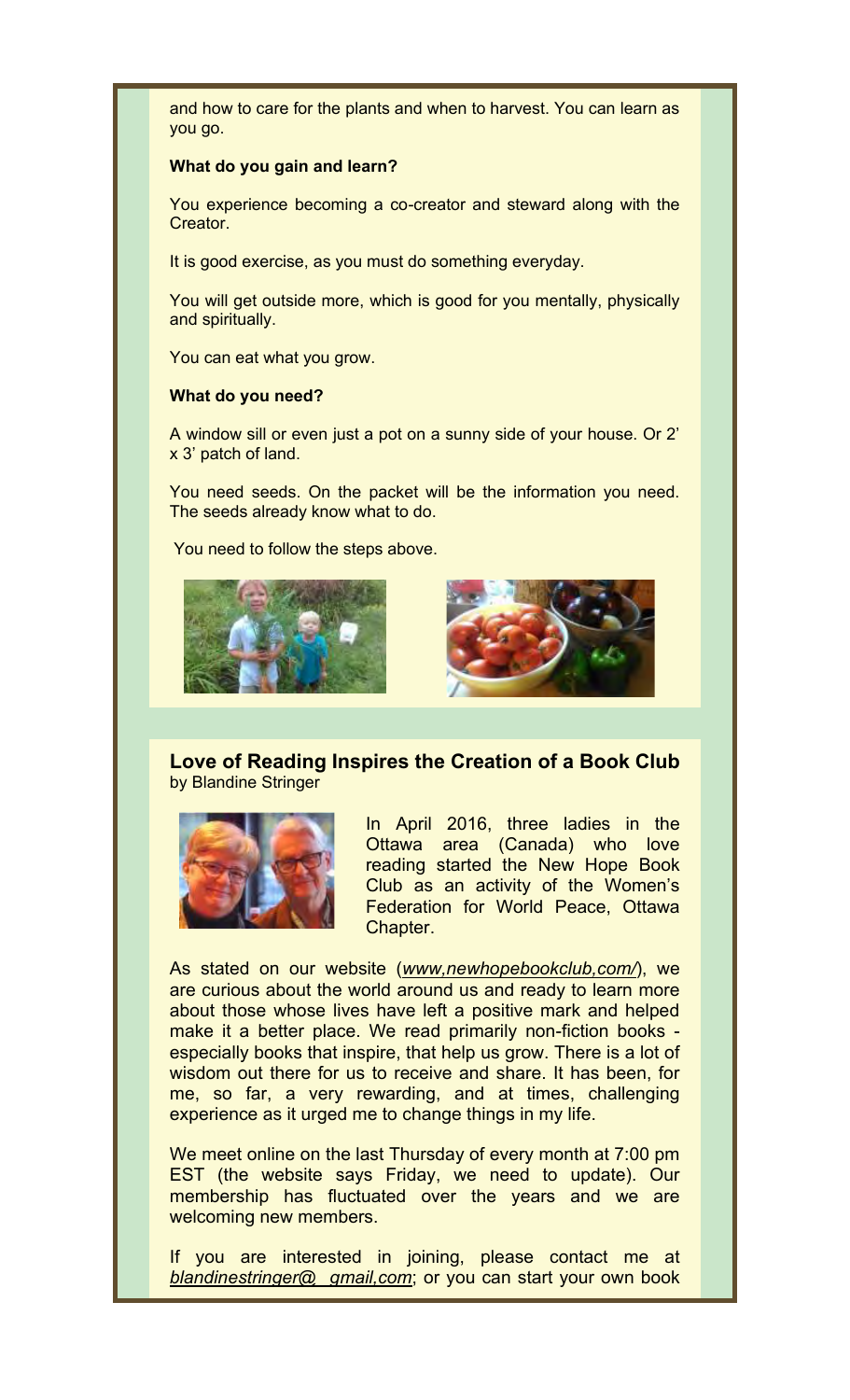and how to care for the plants and when to harvest. You can learn as you go.

#### **What do you gain and learn?**

You experience becoming a co-creator and steward along with the Creator.

It is good exercise, as you must do something everyday.

You will get outside more, which is good for you mentally, physically and spiritually.

You can eat what you grow.

#### **What do you need?**

A window sill or even just a pot on a sunny side of your house. Or 2' x 3' patch of land.

You need seeds. On the packet will be the information you need. The seeds already know what to do.

You need to follow the steps above.





**Love of Reading Inspires the Creation of a Book Club** by Blandine Stringer



In April 2016, three ladies in the Ottawa area (Canada) who love reading started the New Hope Book Club as an activity of the Women's Federation for World Peace, Ottawa Chapter.

As stated on our website (*www,newhopebookclub,com/*), we are curious about the world around us and ready to learn more about those whose lives have left a positive mark and helped make it a better place. We read primarily non-fiction books especially books that inspire, that help us grow. There is a lot of wisdom out there for us to receive and share. It has been, for me, so far, a very rewarding, and at times, challenging experience as it urged me to change things in my life.

We meet online on the last Thursday of every month at 7:00 pm EST (the website says Friday, we need to update). Our membership has fluctuated over the years and we are welcoming new members.

If you are interested in joining, please contact me at *blandinestringer@ gmail,com*; or you can start your own book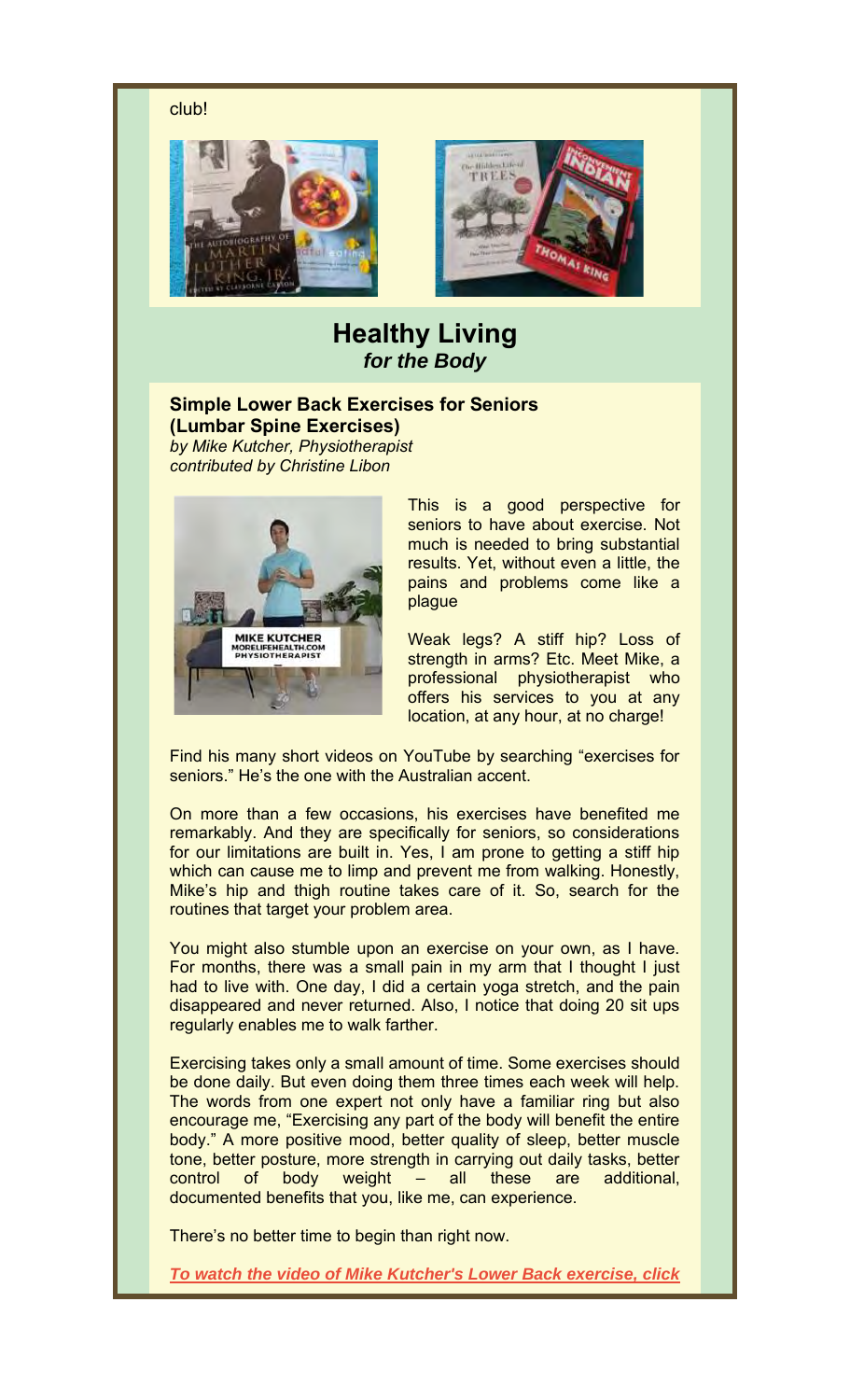club!





## **Healthy Living** *for the Body*

### **Simple Lower Back Exercises for Seniors (Lumbar Spine Exercises)**

*by Mike Kutcher, Physiotherapist contributed by Christine Libon*



This is a good perspective for seniors to have about exercise. Not much is needed to bring substantial results. Yet, without even a little, the pains and problems come like a plague

Weak legs? A stiff hip? Loss of strength in arms? Etc. Meet Mike, a professional physiotherapist who offers his services to you at any location, at any hour, at no charge!

Find his many short videos on YouTube by searching "exercises for seniors." He's the one with the Australian accent.

On more than a few occasions, his exercises have benefited me remarkably. And they are specifically for seniors, so considerations for our limitations are built in. Yes, I am prone to getting a stiff hip which can cause me to limp and prevent me from walking. Honestly, Mike's hip and thigh routine takes care of it. So, search for the routines that target your problem area.

You might also stumble upon an exercise on your own, as I have. For months, there was a small pain in my arm that I thought I just had to live with. One day, I did a certain yoga stretch, and the pain disappeared and never returned. Also, I notice that doing 20 sit ups regularly enables me to walk farther.

Exercising takes only a small amount of time. Some exercises should be done daily. But even doing them three times each week will help. The words from one expert not only have a familiar ring but also encourage me, "Exercising any part of the body will benefit the entire body." A more positive mood, better quality of sleep, better muscle tone, better posture, more strength in carrying out daily tasks, better control of body weight – all these are additional, documented benefits that you, like me, can experience.

There's no better time to begin than right now.

*To watch the video of Mike Kutcher's Lower Back exercise, click*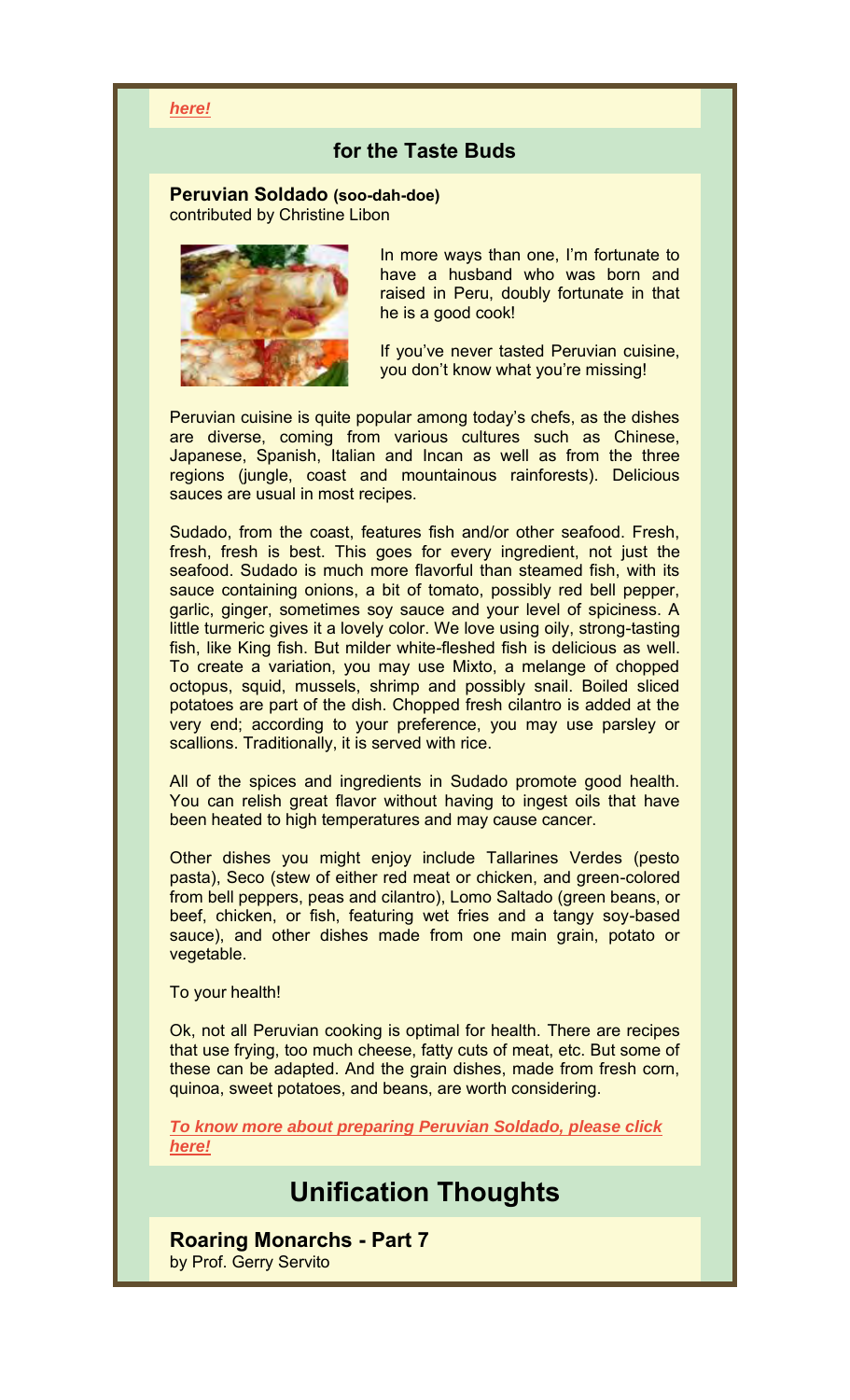#### *here!*

## **for the Taste Buds**

#### **Peruvian Soldado (soo-dah-doe)** contributed by Christine Libon



In more ways than one, I'm fortunate to have a husband who was born and raised in Peru, doubly fortunate in that he is a good cook!

If you've never tasted Peruvian cuisine, you don't know what you're missing!

Peruvian cuisine is quite popular among today's chefs, as the dishes are diverse, coming from various cultures such as Chinese, Japanese, Spanish, Italian and Incan as well as from the three regions (jungle, coast and mountainous rainforests). Delicious sauces are usual in most recipes.

Sudado, from the coast, features fish and/or other seafood. Fresh, fresh, fresh is best. This goes for every ingredient, not just the seafood. Sudado is much more flavorful than steamed fish, with its sauce containing onions, a bit of tomato, possibly red bell pepper, garlic, ginger, sometimes soy sauce and your level of spiciness. A little turmeric gives it a lovely color. We love using oily, strong-tasting fish, like King fish. But milder white-fleshed fish is delicious as well. To create a variation, you may use Mixto, a melange of chopped octopus, squid, mussels, shrimp and possibly snail. Boiled sliced potatoes are part of the dish. Chopped fresh cilantro is added at the very end; according to your preference, you may use parsley or scallions. Traditionally, it is served with rice.

All of the spices and ingredients in Sudado promote good health. You can relish great flavor without having to ingest oils that have been heated to high temperatures and may cause cancer.

Other dishes you might enjoy include Tallarines Verdes (pesto pasta), Seco (stew of either red meat or chicken, and green-colored from bell peppers, peas and cilantro), Lomo Saltado (green beans, or beef, chicken, or fish, featuring wet fries and a tangy soy-based sauce), and other dishes made from one main grain, potato or vegetable.

To your health!

Ok, not all Peruvian cooking is optimal for health. There are recipes that use frying, too much cheese, fatty cuts of meat, etc. But some of these can be adapted. And the grain dishes, made from fresh corn, quinoa, sweet potatoes, and beans, are worth considering.

*To know more about preparing Peruvian Soldado, please click here!*

# **Unification Thoughts**

**Roaring Monarchs - Part 7**

by Prof. Gerry Servito